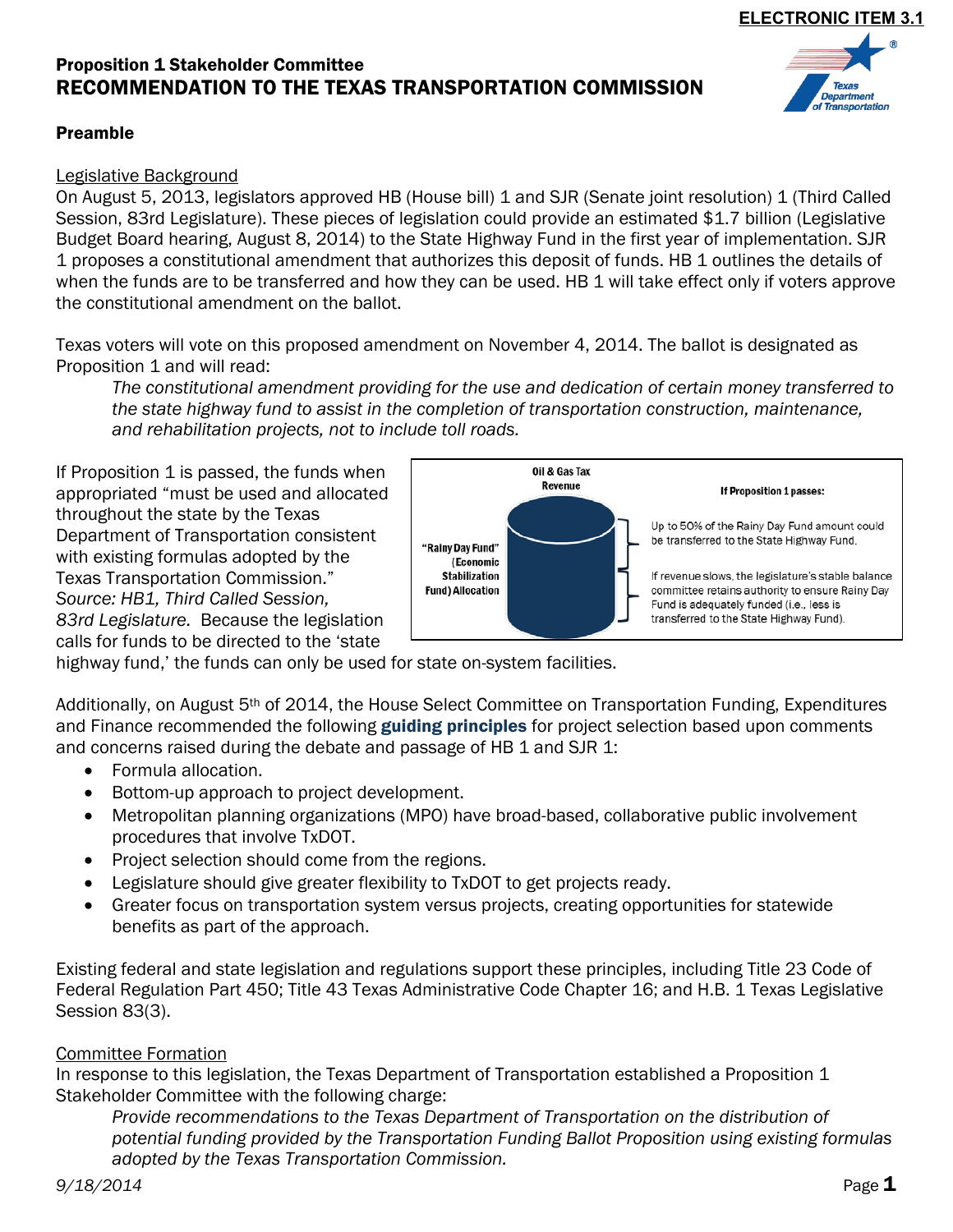# Proposition 1 Stakeholder Committee RECOMMENDATION TO THE TEXAS TRANSPORTATION COMMISSION

#### Preamble

#### Legislative Background

On August 5, 2013, legislators approved HB (House bill) 1 and SJR (Senate joint resolution) 1 (Third Called Session, 83rd Legislature). These pieces of legislation could provide an estimated \$1.7 billion (Legislative Budget Board hearing, August 8, 2014) to the State Highway Fund in the first year of implementation. SJR 1 proposes a constitutional amendment that authorizes this deposit of funds. HB 1 outlines the details of when the funds are to be transferred and how they can be used. HB 1 will take effect only if voters approve the constitutional amendment on the ballot.

Texas voters will vote on this proposed amendment on November 4, 2014. The ballot is designated as Proposition 1 and will read:

*The constitutional amendment providing for the use and dedication of certain money transferred to the state highway fund to assist in the completion of transportation construction, maintenance, and rehabilitation projects, not to include toll roads.* 

If Proposition 1 is passed, the funds when appropriated "must be used and allocated throughout the state by the Texas Department of Transportation consistent with existing formulas adopted by the Texas Transportation Commission." *Source: HB1, Third Called Session, 83rd Legislature.* Because the legislation calls for funds to be directed to the 'state



highway fund,' the funds can only be used for state on-system facilities.

Additionally, on August 5th of 2014, the House Select Committee on Transportation Funding, Expenditures and Finance recommended the following guiding principles for project selection based upon comments and concerns raised during the debate and passage of HB 1 and SJR 1:

- Formula allocation.
- Bottom-up approach to project development.
- Metropolitan planning organizations (MPO) have broad-based, collaborative public involvement procedures that involve TxDOT.
- Project selection should come from the regions.
- Legislature should give greater flexibility to TxDOT to get projects ready.
- Greater focus on transportation system versus projects, creating opportunities for statewide benefits as part of the approach.

Existing federal and state legislation and regulations support these principles, including Title 23 Code of Federal Regulation Part 450; Title 43 Texas Administrative Code Chapter 16; and H.B. 1 Texas Legislative Session 83(3).

### Committee Formation

In response to this legislation, the Texas Department of Transportation established a Proposition 1 Stakeholder Committee with the following charge:

*Provide recommendations to the Texas Department of Transportation on the distribution of potential funding provided by the Transportation Funding Ballot Proposition using existing formulas adopted by the Texas Transportation Commission.* 



epartmen Transportation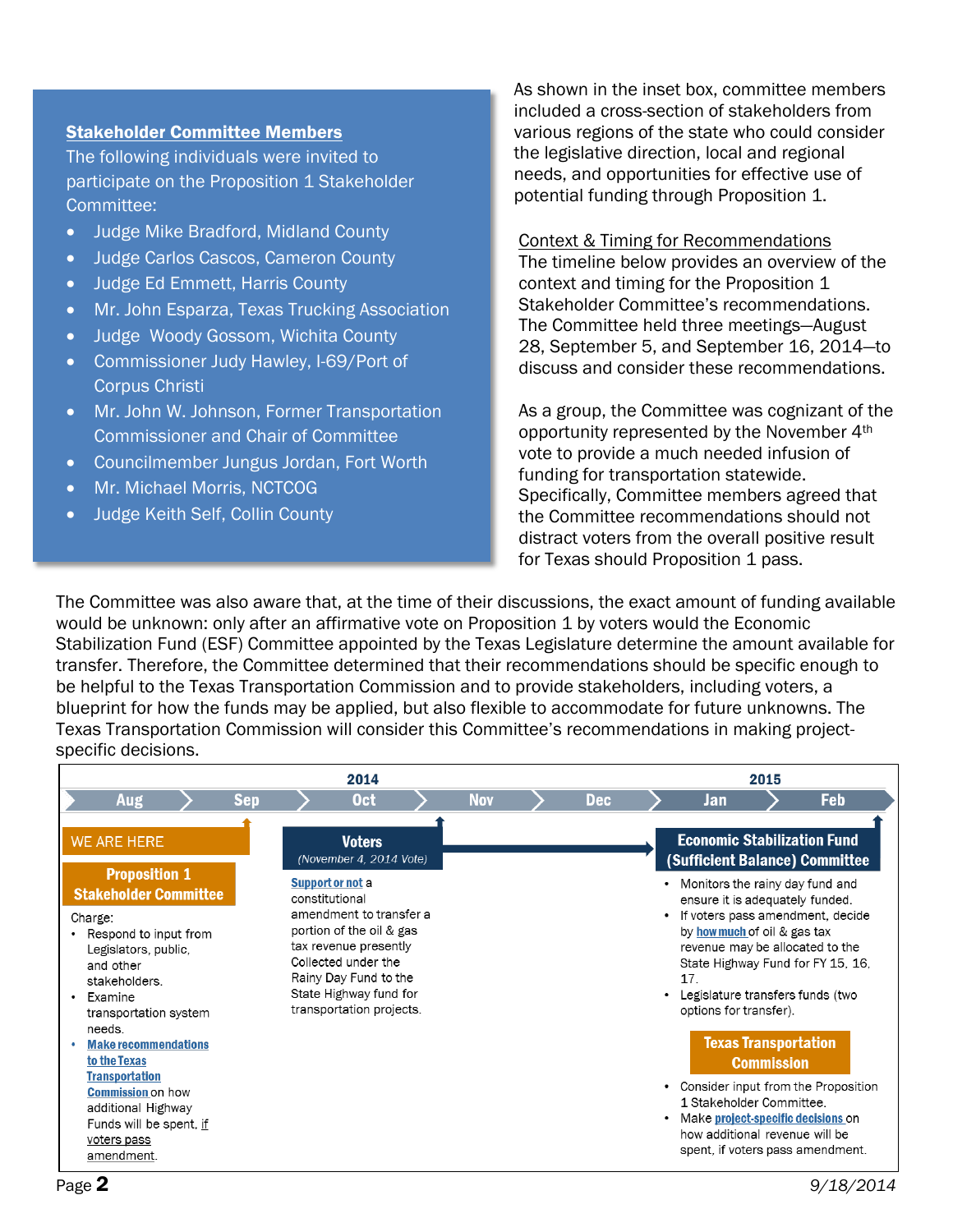#### Stakeholder Committee Members

The following individuals were invited to participate on the Proposition 1 Stakeholder Committee:

- Judge Mike Bradford, Midland County
- Judge Carlos Cascos, Cameron County
- Judge Ed Emmett, Harris County
- Mr. John Esparza, Texas Trucking Association
- Judge Woody Gossom, Wichita County
- Commissioner Judy Hawley, I-69/Port of Corpus Christi
- Mr. John W. Johnson, Former Transportation Commissioner and Chair of Committee
- Councilmember Jungus Jordan, Fort Worth
- Mr. Michael Morris, NCTCOG
- Judge Keith Self, Collin County

As shown in the inset box, committee members included a cross-section of stakeholders from various regions of the state who could consider the legislative direction, local and regional needs, and opportunities for effective use of potential funding through Proposition 1.

Context & Timing for Recommendations The timeline below provides an overview of the context and timing for the Proposition 1 Stakeholder Committee's recommendations. The Committee held three meetings—August 28, September 5, and September 16, 2014—to discuss and consider these recommendations.

As a group, the Committee was cognizant of the opportunity represented by the November 4th vote to provide a much needed infusion of funding for transportation statewide. Specifically, Committee members agreed that the Committee recommendations should not distract voters from the overall positive result for Texas should Proposition 1 pass.

The Committee was also aware that, at the time of their discussions, the exact amount of funding available would be unknown: only after an affirmative vote on Proposition 1 by voters would the Economic Stabilization Fund (ESF) Committee appointed by the Texas Legislature determine the amount available for transfer. Therefore, the Committee determined that their recommendations should be specific enough to be helpful to the Texas Transportation Commission and to provide stakeholders, including voters, a blueprint for how the funds may be applied, but also flexible to accommodate for future unknowns. The Texas Transportation Commission will consider this Committee's recommendations in making projectspecific decisions.

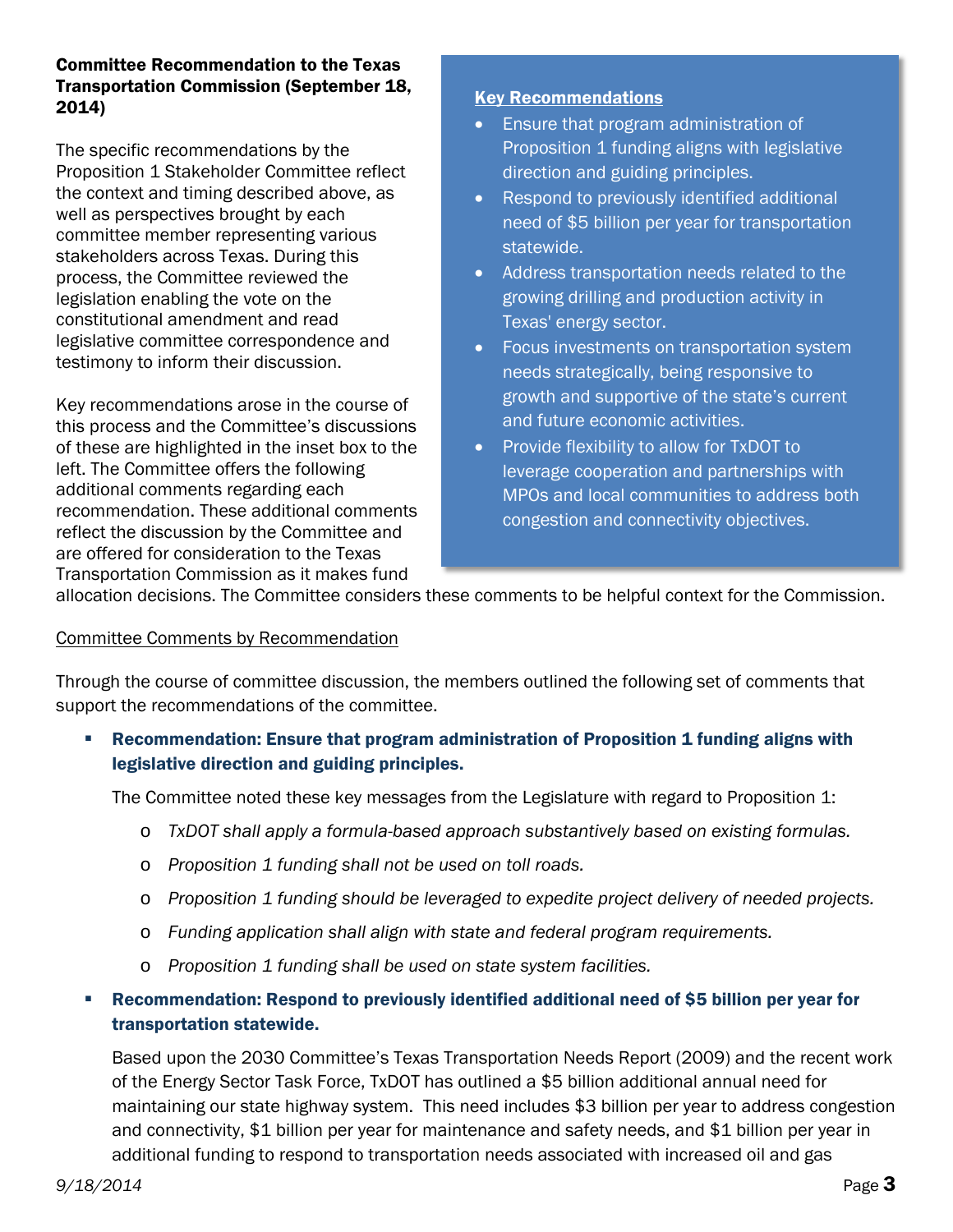### Committee Recommendation to the Texas Transportation Commission (September 18, 2014)

The specific recommendations by the Proposition 1 Stakeholder Committee reflect the context and timing described above, as well as perspectives brought by each committee member representing various stakeholders across Texas. During this process, the Committee reviewed the legislation enabling the vote on the constitutional amendment and read legislative committee correspondence and testimony to inform their discussion.

Key recommendations arose in the course of this process and the Committee's discussions of these are highlighted in the inset box to the left. The Committee offers the following additional comments regarding each recommendation. These additional comments reflect the discussion by the Committee and are offered for consideration to the Texas Transportation Commission as it makes fund

## Key Recommendations

- Ensure that program administration of Proposition 1 funding aligns with legislative direction and guiding principles.
- Respond to previously identified additional need of \$5 billion per year for transportation statewide.
- Address transportation needs related to the growing drilling and production activity in Texas' energy sector.
- Focus investments on transportation system needs strategically, being responsive to growth and supportive of the state's current and future economic activities.
- Provide flexibility to allow for TxDOT to leverage cooperation and partnerships with MPOs and local communities to address both congestion and connectivity objectives.

allocation decisions. The Committee considers these comments to be helpful context for the Commission.

### Committee Comments by Recommendation

Through the course of committee discussion, the members outlined the following set of comments that support the recommendations of the committee.

 Recommendation: Ensure that program administration of Proposition 1 funding aligns with legislative direction and guiding principles.

The Committee noted these key messages from the Legislature with regard to Proposition 1:

- o *TxDOT shall apply a formula-based approach substantively based on existing formulas.*
- o *Proposition 1 funding shall not be used on toll roads.*
- o *Proposition 1 funding should be leveraged to expedite project delivery of needed projects.*
- o *Funding application shall align with state and federal program requirements.*
- o *Proposition 1 funding shall be used on state system facilities.*

# Recommendation: Respond to previously identified additional need of \$5 billion per year for transportation statewide.

Based upon the 2030 Committee's Texas Transportation Needs Report (2009) and the recent work of the Energy Sector Task Force, TxDOT has outlined a \$5 billion additional annual need for maintaining our state highway system. This need includes \$3 billion per year to address congestion and connectivity, \$1 billion per year for maintenance and safety needs, and \$1 billion per year in additional funding to respond to transportation needs associated with increased oil and gas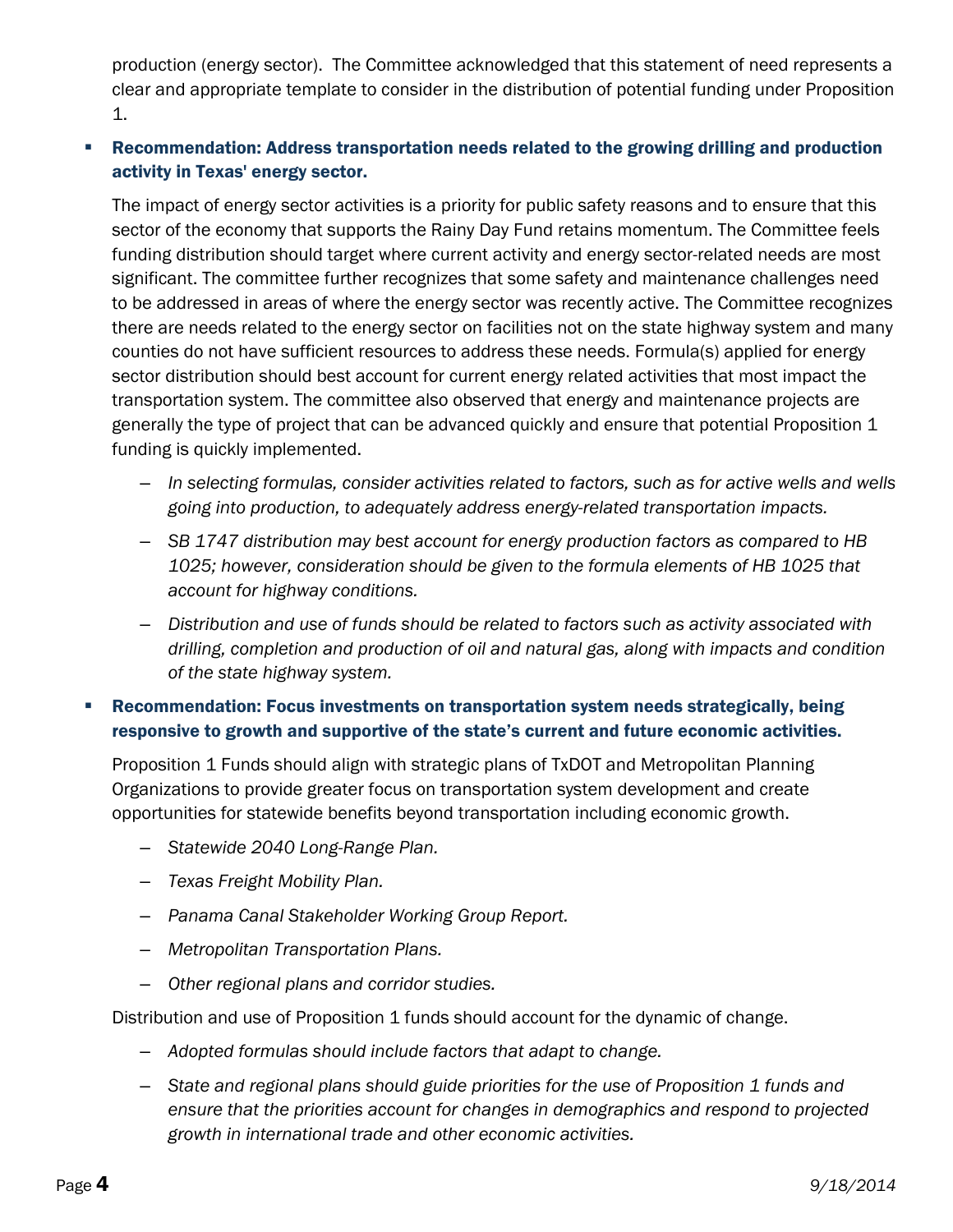production (energy sector). The Committee acknowledged that this statement of need represents a clear and appropriate template to consider in the distribution of potential funding under Proposition 1.

## Recommendation: Address transportation needs related to the growing drilling and production activity in Texas' energy sector.

The impact of energy sector activities is a priority for public safety reasons and to ensure that this sector of the economy that supports the Rainy Day Fund retains momentum. The Committee feels funding distribution should target where current activity and energy sector-related needs are most significant. The committee further recognizes that some safety and maintenance challenges need to be addressed in areas of where the energy sector was recently active. The Committee recognizes there are needs related to the energy sector on facilities not on the state highway system and many counties do not have sufficient resources to address these needs. Formula(s) applied for energy sector distribution should best account for current energy related activities that most impact the transportation system. The committee also observed that energy and maintenance projects are generally the type of project that can be advanced quickly and ensure that potential Proposition 1 funding is quickly implemented.

- *In selecting formulas, consider activities related to factors, such as for active wells and wells going into production, to adequately address energy-related transportation impacts.*
- *SB 1747 distribution may best account for energy production factors as compared to HB 1025; however, consideration should be given to the formula elements of HB 1025 that account for highway conditions.*
- *Distribution and use of funds should be related to factors such as activity associated with drilling, completion and production of oil and natural gas, along with impacts and condition of the state highway system.*

## Recommendation: Focus investments on transportation system needs strategically, being responsive to growth and supportive of the state's current and future economic activities.

Proposition 1 Funds should align with strategic plans of TxDOT and Metropolitan Planning Organizations to provide greater focus on transportation system development and create opportunities for statewide benefits beyond transportation including economic growth.

- *Statewide 2040 Long-Range Plan.*
- *Texas Freight Mobility Plan.*
- *Panama Canal Stakeholder Working Group Report.*
- *Metropolitan Transportation Plans.*
- *Other regional plans and corridor studies.*

Distribution and use of Proposition 1 funds should account for the dynamic of change.

- *Adopted formulas should include factors that adapt to change.*
- *State and regional plans should guide priorities for the use of Proposition 1 funds and ensure that the priorities account for changes in demographics and respond to projected growth in international trade and other economic activities.*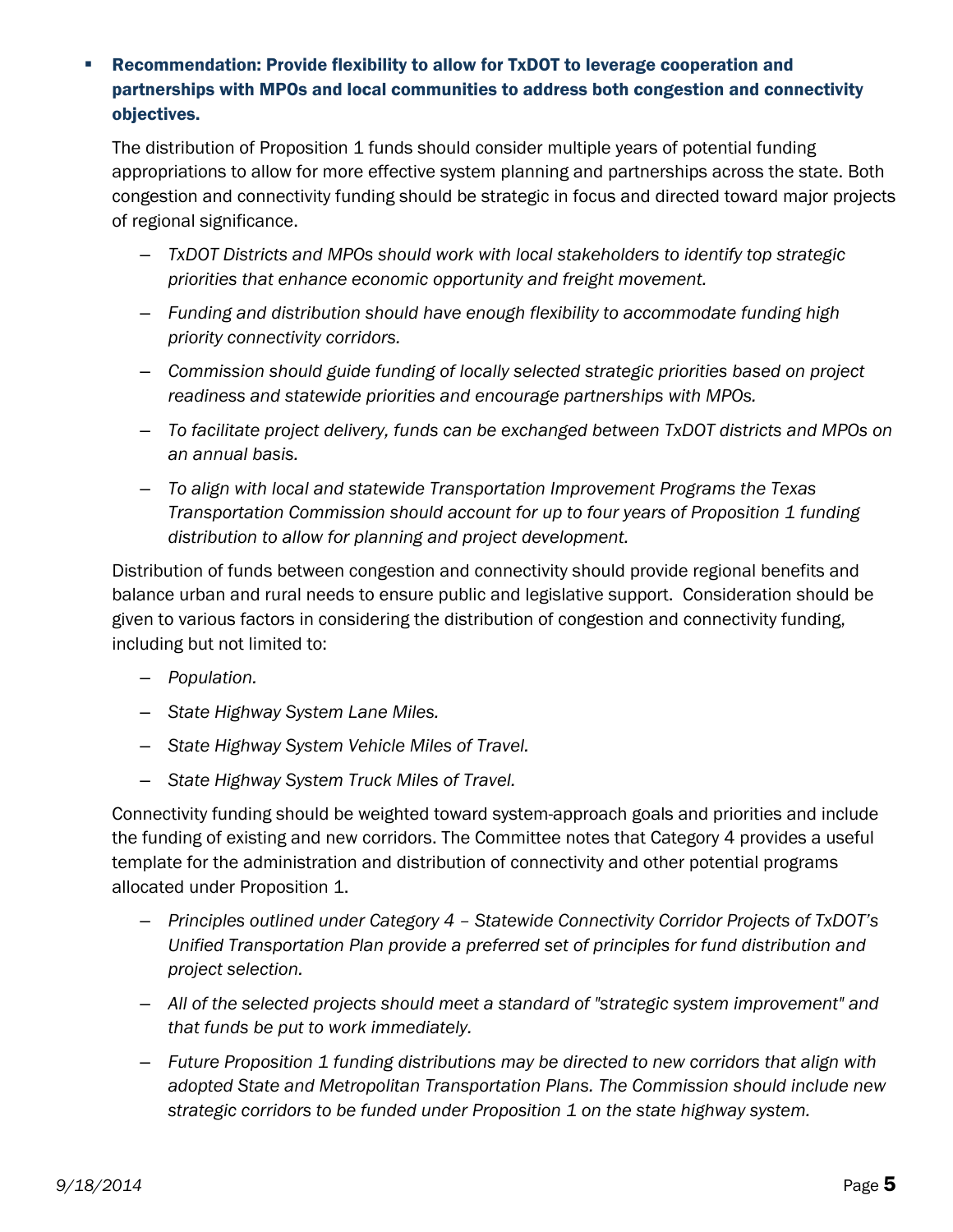## Recommendation: Provide flexibility to allow for TxDOT to leverage cooperation and partnerships with MPOs and local communities to address both congestion and connectivity objectives.

The distribution of Proposition 1 funds should consider multiple years of potential funding appropriations to allow for more effective system planning and partnerships across the state. Both congestion and connectivity funding should be strategic in focus and directed toward major projects of regional significance.

- *TxDOT Districts and MPOs should work with local stakeholders to identify top strategic priorities that enhance economic opportunity and freight movement.*
- *Funding and distribution should have enough flexibility to accommodate funding high priority connectivity corridors.*
- *Commission should guide funding of locally selected strategic priorities based on project readiness and statewide priorities and encourage partnerships with MPOs.*
- *To facilitate project delivery, funds can be exchanged between TxDOT districts and MPOs on an annual basis.*
- *To align with local and statewide Transportation Improvement Programs the Texas Transportation Commission should account for up to four years of Proposition 1 funding distribution to allow for planning and project development.*

Distribution of funds between congestion and connectivity should provide regional benefits and balance urban and rural needs to ensure public and legislative support. Consideration should be given to various factors in considering the distribution of congestion and connectivity funding, including but not limited to:

- *Population.*
- *State Highway System Lane Miles.*
- *State Highway System Vehicle Miles of Travel.*
- *State Highway System Truck Miles of Travel.*

Connectivity funding should be weighted toward system-approach goals and priorities and include the funding of existing and new corridors. The Committee notes that Category 4 provides a useful template for the administration and distribution of connectivity and other potential programs allocated under Proposition 1.

- *Principles outlined under Category 4 – Statewide Connectivity Corridor Projects of TxDOT's Unified Transportation Plan provide a preferred set of principles for fund distribution and project selection.*
- *All of the selected projects should meet a standard of "strategic system improvement" and that funds be put to work immediately.*
- *Future Proposition 1 funding distributions may be directed to new corridors that align with adopted State and Metropolitan Transportation Plans. The Commission should include new strategic corridors to be funded under Proposition 1 on the state highway system.*